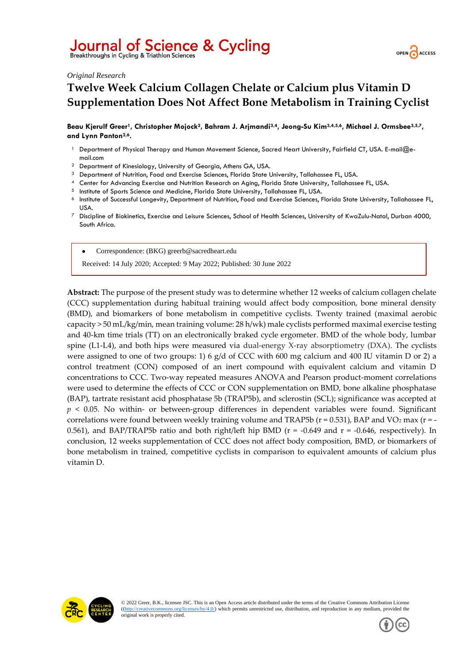# Journal of Science & Cycling

Breakthroughs in Cycling & Triathlon Sciences



#### *Original Research*

# **Twelve Week Calcium Collagen Chelate or Calcium plus Vitamin D Supplementation Does Not Affect Bone Metabolism in Training Cyclist**

**Beau Kjerulf Greer1, Christopher Mojock2, Bahram J. Arjmandi3,4, Jeong-Su Kim3,4,5,6, Michael J. Ormsbee3,5,7, and Lynn Panton2,6.**

- <sup>1</sup> Department of Physical Therapy and Human Movement Science, Sacred Heart University, Fairfield CT, USA. E-mail@email.com
- <sup>2</sup> Department of Kinesiology, University of Georgia, Athens GA, USA.
- 3 Department of Nutrition, Food and Exercise Sciences, Florida State University, Tallahassee FL, USA.
- <sup>4</sup> Center for Advancing Exercise and Nutrition Research on Aging, Florida State University, Tallahassee FL, USA.
- <sup>5</sup> Institute of Sports Science and Medicine, Florida State University, Tallahassee FL, USA.
- <sup>6</sup> Institute of Successful Longevity, Department of Nutrition, Food and Exercise Sciences, Florida State University, Tallahassee FL, USA.
- <sup>7</sup> Discipline of Biokinetics, Exercise and Leisure Sciences, School of Health Sciences, University of KwaZulu-Natal, Durban 4000, South Africa.

• Correspondence: (BKG) greerb@sacredheart.edu

Received: 14 July 2020; Accepted: 9 May 2022; Published: 30 June 2022

**Abstract:** The purpose of the present study was to determine whether 12 weeks of calcium collagen chelate (CCC) supplementation during habitual training would affect body composition, bone mineral density (BMD), and biomarkers of bone metabolism in competitive cyclists. Twenty trained (maximal aerobic capacity > 50 mL/kg/min, mean training volume: 28 h/wk) male cyclists performed maximal exercise testing and 40-km time trials (TT) on an electronically braked cycle ergometer. BMD of the whole body, lumbar spine (L1-L4), and both hips were measured via dual-energy X-ray absorptiometry (DXA). The cyclists were assigned to one of two groups: 1) 6 g/d of CCC with 600 mg calcium and 400 IU vitamin D or 2) a control treatment (CON) composed of an inert compound with equivalent calcium and vitamin D concentrations to CCC. Two-way repeated measures ANOVA and Pearson product-moment correlations were used to determine the effects of CCC or CON supplementation on BMD, bone alkaline phosphatase (BAP), tartrate resistant acid phosphatase 5b (TRAP5b), and sclerostin (SCL); significance was accepted at *p* < 0.05. No within- or between-group differences in dependent variables were found. Significant correlations were found between weekly training volume and TRAP5b ( $r = 0.531$ ), BAP and VO<sub>2</sub> max ( $r = -$ 0.561), and BAP/TRAP5b ratio and both right/left hip BMD ( $r = -0.649$  and  $r = -0.646$ , respectively). In conclusion, 12 weeks supplementation of CCC does not affect body composition, BMD, or biomarkers of bone metabolism in trained, competitive cyclists in comparison to equivalent amounts of calcium plus vitamin D.



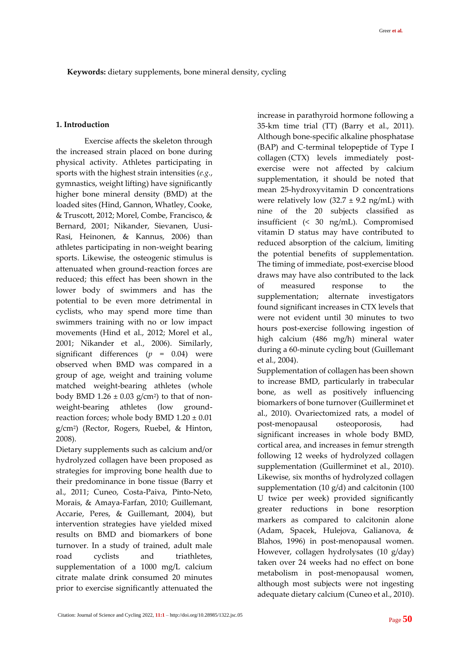### **1. Introduction**

Exercise affects the skeleton through the increased strain placed on bone during physical activity. Athletes participating in sports with the highest strain intensities (*e.g.*, gymnastics, weight lifting) have significantly higher bone mineral density (BMD) at the loaded sites (Hind, Gannon, Whatley, Cooke, & Truscott, 2012; Morel, Combe, Francisco, & Bernard, 2001; Nikander, Sievanen, Uusi-Rasi, Heinonen, & Kannus, 2006) than athletes participating in non-weight bearing sports. Likewise, the osteogenic stimulus is attenuated when ground-reaction forces are reduced; this effect has been shown in the lower body of swimmers and has the potential to be even more detrimental in cyclists, who may spend more time than swimmers training with no or low impact movements (Hind et al., 2012; Morel et al., 2001; Nikander et al., 2006). Similarly, significant differences (*p* = 0.04) were observed when BMD was compared in a group of age, weight and training volume matched weight-bearing athletes (whole body BMD 1.26  $\pm$  0.03 g/cm²) to that of nonweight-bearing athletes (low groundreaction forces; whole body BMD  $1.20 \pm 0.01$ g/cm<sup>2</sup> ) (Rector, Rogers, Ruebel, & Hinton, 2008).

Dietary supplements such as calcium and/or hydrolyzed collagen have been proposed as strategies for improving bone health due to their predominance in bone tissue (Barry et al., 2011; Cuneo, Costa-Paiva, Pinto-Neto, Morais, & Amaya-Farfan, 2010; Guillemant, Accarie, Peres, & Guillemant, 2004), but intervention strategies have yielded mixed results on BMD and biomarkers of bone turnover. In a study of trained, adult male road cyclists and triathletes, supplementation of a 1000 mg/L calcium citrate malate drink consumed 20 minutes prior to exercise significantly attenuated the increase in parathyroid hormone following a 35-km time trial (TT) (Barry et al., 2011). Although bone-specific alkaline phosphatase (BAP) and C-terminal telopeptide of Type I collagen (CTX) levels immediately postexercise were not affected by calcium supplementation, it should be noted that mean 25-hydroxyvitamin D concentrations were relatively low  $(32.7 \pm 9.2 \text{ ng/mL})$  with nine of the 20 subjects classified as insufficient (< 30 ng/mL). Compromised vitamin D status may have contributed to reduced absorption of the calcium, limiting the potential benefits of supplementation. The timing of immediate, post-exercise blood draws may have also contributed to the lack of measured response to the supplementation; alternate investigators found significant increases in CTX levels that were not evident until 30 minutes to two hours post-exercise following ingestion of high calcium (486 mg/h) mineral water during a 60-minute cycling bout (Guillemant et al., 2004).

Supplementation of collagen has been shown to increase BMD, particularly in trabecular bone, as well as positively influencing biomarkers of bone turnover (Guillerminet et al., 2010). Ovariectomized rats, a model of post-menopausal osteoporosis, had significant increases in whole body BMD, cortical area, and increases in femur strength following 12 weeks of hydrolyzed collagen supplementation (Guillerminet et al., 2010). Likewise, six months of hydrolyzed collagen supplementation (10  $g/d$ ) and calcitonin (100 U twice per week) provided significantly greater reductions in bone resorption markers as compared to calcitonin alone (Adam, Spacek, Hulejova, Galianova, & Blahos, 1996) in post-menopausal women. However, collagen hydrolysates (10 g/day) taken over 24 weeks had no effect on bone metabolism in post-menopausal women, although most subjects were not ingesting adequate dietary calcium (Cuneo et al., 2010).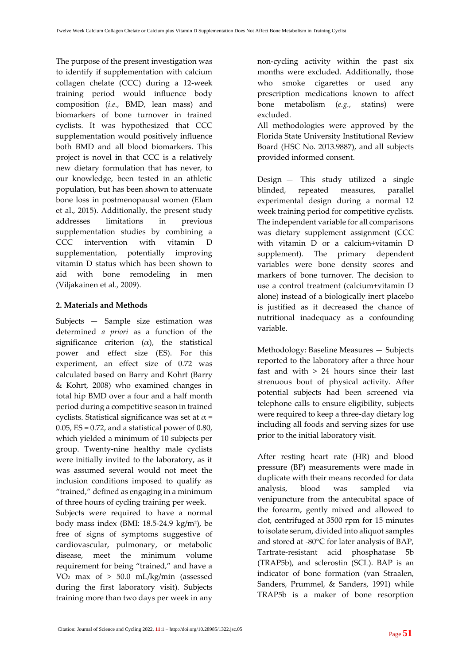The purpose of the present investigation was to identify if supplementation with calcium collagen chelate (CCC) during a 12-week training period would influence body composition (*i.e.*, BMD, lean mass) and biomarkers of bone turnover in trained cyclists. It was hypothesized that CCC supplementation would positively influence both BMD and all blood biomarkers. This project is novel in that CCC is a relatively new dietary formulation that has never, to our knowledge, been tested in an athletic population, but has been shown to attenuate bone loss in postmenopausal women (Elam et al., 2015). Additionally, the present study addresses limitations in previous supplementation studies by combining a CCC intervention with vitamin D supplementation, potentially improving vitamin D status which has been shown to aid with bone remodeling in men (Viljakainen et al., 2009).

# **2. Materials and Methods**

Subjects — Sample size estimation was determined *a priori* as a function of the significance criterion  $(\alpha)$ , the statistical power and effect size (ES). For this experiment, an effect size of 0.72 was calculated based on Barry and Kohrt (Barry & Kohrt, 2008) who examined changes in total hip BMD over a four and a half month period during a competitive season in trained cyclists. Statistical significance was set at  $\alpha$  = 0.05,  $ES = 0.72$ , and a statistical power of 0.80, which yielded a minimum of 10 subjects per group. Twenty-nine healthy male cyclists were initially invited to the laboratory, as it was assumed several would not meet the inclusion conditions imposed to qualify as "trained," defined as engaging in a minimum of three hours of cycling training per week.

Subjects were required to have a normal body mass index (BMI: 18.5-24.9 kg/m<sup>2</sup> ), be free of signs of symptoms suggestive of cardiovascular, pulmonary, or metabolic disease, meet the minimum volume requirement for being "trained," and have a VO<sup>2</sup> max of > 50.0 mL/kg/min (assessed during the first laboratory visit). Subjects training more than two days per week in any

non-cycling activity within the past six months were excluded. Additionally, those who smoke cigarettes or used any prescription medications known to affect bone metabolism (*e.g.*, statins) were excluded.

All methodologies were approved by the Florida State University Institutional Review Board (HSC No. 2013.9887), and all subjects provided informed consent.

Design — This study utilized a single blinded, repeated measures, parallel experimental design during a normal 12 week training period for competitive cyclists. The independent variable for all comparisons was dietary supplement assignment (CCC with vitamin D or a calcium+vitamin D supplement). The primary dependent variables were bone density scores and markers of bone turnover. The decision to use a control treatment (calcium+vitamin D alone) instead of a biologically inert placebo is justified as it decreased the chance of nutritional inadequacy as a confounding variable.

Methodology: Baseline Measures — Subjects reported to the laboratory after a three hour fast and with > 24 hours since their last strenuous bout of physical activity. After potential subjects had been screened via telephone calls to ensure eligibility, subjects were required to keep a three-day dietary log including all foods and serving sizes for use prior to the initial laboratory visit.

After resting heart rate (HR) and blood pressure (BP) measurements were made in duplicate with their means recorded for data analysis, blood was sampled via venipuncture from the antecubital space of the forearm, gently mixed and allowed to clot, centrifuged at 3500 rpm for 15 minutes to isolate serum, divided into aliquot samples and stored at -80°C for later analysis of BAP, Tartrate-resistant acid phosphatase 5b (TRAP5b), and sclerostin (SCL). BAP is an indicator of bone formation (van Straalen, Sanders, Prummel, & Sanders, 1991) while TRAP5b is a maker of bone resorption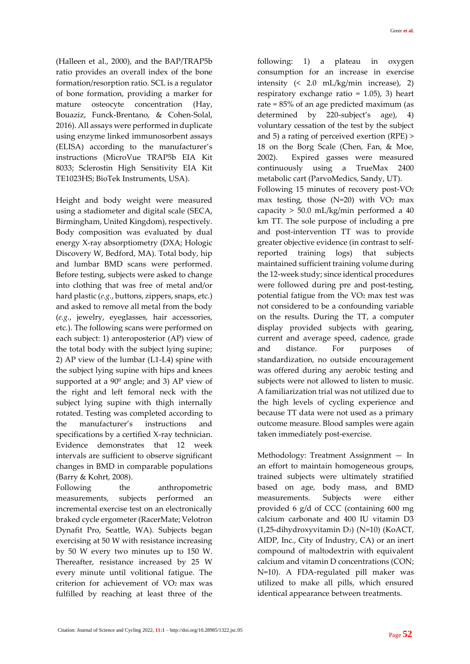(Halleen et al., 2000), and the BAP/TRAP5b ratio provides an overall index of the bone formation/resorption ratio. SCL is a regulator of bone formation, providing a marker for mature osteocyte concentration (Hay, Bouaziz, Funck-Brentano, & Cohen-Solal, 2016). All assays were performed in duplicate using enzyme linked immunosorbent assays (ELISA) according to the manufacturer's instructions (MicroVue TRAP5b EIA Kit 8033; Sclerostin High Sensitivity EIA Kit TE1023HS; BioTek Instruments, USA).

Height and body weight were measured using a stadiometer and digital scale (SECA, Birmingham, United Kingdom), respectively. Body composition was evaluated by dual energy X-ray absorptiometry (DXA; Hologic Discovery W, Bedford, MA). Total body, hip and lumbar BMD scans were performed. Before testing, subjects were asked to change into clothing that was free of metal and/or hard plastic (*e.g.*, buttons, zippers, snaps, etc.) and asked to remove all metal from the body (*e.g.*, jewelry, eyeglasses, hair accessories, etc.). The following scans were performed on each subject: 1) anteroposterior (AP) view of the total body with the subject lying supine; 2) AP view of the lumbar (L1-L4) spine with the subject lying supine with hips and knees supported at a 90º angle; and 3) AP view of the right and left femoral neck with the subject lying supine with thigh internally rotated. Testing was completed according to the manufacturer's instructions and specifications by a certified X-ray technician. Evidence demonstrates that 12 week intervals are sufficient to observe significant changes in BMD in comparable populations (Barry & Kohrt, 2008).

Following the anthropometric measurements, subjects performed an incremental exercise test on an electronically braked cycle ergometer (RacerMate; Velotron Dynafit Pro, Seattle, WA). Subjects began exercising at 50 W with resistance increasing by 50 W every two minutes up to 150 W. Thereafter, resistance increased by 25 W every minute until volitional fatigue. The criterion for achievement of VO2 max was fulfilled by reaching at least three of the following: 1) a plateau in oxygen consumption for an increase in exercise intensity (< 2.0 mL/kg/min increase), 2) respiratory exchange ratio = 1.05), 3) heart rate = 85% of an age predicted maximum (as determined by 220-subject's age), 4) voluntary cessation of the test by the subject and 5) a rating of perceived exertion (RPE) > 18 on the Borg Scale (Chen, Fan, & Moe, 2002). Expired gasses were measured continuously using a TrueMax 2400 metabolic cart (ParvoMedics, Sandy, UT). Following 15 minutes of recovery post-VO<sup>2</sup>

max testing, those  $(N=20)$  with  $VO<sub>2</sub>$  max capacity > 50.0 mL/kg/min performed a 40 km TT. The sole purpose of including a pre and post-intervention TT was to provide greater objective evidence (in contrast to selfreported training logs) that subjects maintained sufficient training volume during the 12-week study; since identical procedures were followed during pre and post-testing, potential fatigue from the VO<sup>2</sup> max test was not considered to be a confounding variable on the results. During the TT, a computer display provided subjects with gearing, current and average speed, cadence, grade and distance. For purposes of standardization, no outside encouragement was offered during any aerobic testing and subjects were not allowed to listen to music. A familiarization trial was not utilized due to the high levels of cycling experience and because TT data were not used as a primary outcome measure. Blood samples were again taken immediately post-exercise.

Methodology: Treatment Assignment — In an effort to maintain homogeneous groups, trained subjects were ultimately stratified based on age, body mass, and BMD measurements. Subjects were either provided 6 g/d of CCC (containing 600 mg calcium carbonate and 400 IU vitamin D3 (1,25-dihydroxyvitamin D3) (N=10) (KoACT, AIDP, Inc., City of Industry, CA) or an inert compound of maltodextrin with equivalent calcium and vitamin D concentrations (CON; N=10). A FDA-regulated pill maker was utilized to make all pills, which ensured identical appearance between treatments.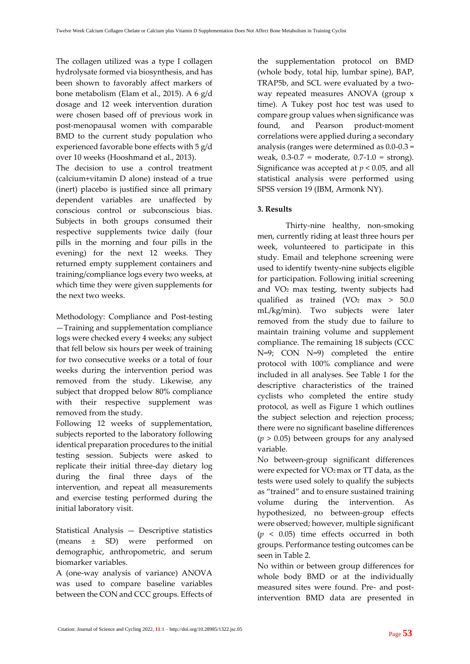The collagen utilized was a type I collagen hydrolysate formed via biosynthesis, and has been shown to favorably affect markers of bone metabolism (Elam et al., 2015). A 6 g/d dosage and 12 week intervention duration were chosen based off of previous work in post-menopausal women with comparable BMD to the current study population who experienced favorable bone effects with 5 g/d over 10 weeks (Hooshmand et al., 2013).

The decision to use a control treatment (calcium+vitamin D alone) instead of a true (inert) placebo is justified since all primary dependent variables are unaffected by conscious control or subconscious bias. Subjects in both groups consumed their respective supplements twice daily (four pills in the morning and four pills in the evening) for the next 12 weeks. They returned empty supplement containers and training/compliance logs every two weeks, at which time they were given supplements for the next two weeks.

Methodology: Compliance and Post-testing —Training and supplementation compliance logs were checked every 4 weeks; any subject that fell below six hours per week of training for two consecutive weeks or a total of four weeks during the intervention period was removed from the study. Likewise, any subject that dropped below 80% compliance with their respective supplement was removed from the study.

Following 12 weeks of supplementation, subjects reported to the laboratory following identical preparation procedures to the initial testing session. Subjects were asked to replicate their initial three-day dietary log during the final three days of the intervention, and repeat all measurements and exercise testing performed during the initial laboratory visit.

Statistical Analysis — Descriptive statistics (means ± SD) were performed on demographic, anthropometric, and serum biomarker variables.

A (one-way analysis of variance) ANOVA was used to compare baseline variables between the CON and CCC groups. Effects of the supplementation protocol on BMD (whole body, total hip, lumbar spine), BAP, TRAP5b, and SCL were evaluated by a twoway repeated measures ANOVA (group x time). A Tukey post hoc test was used to compare group values when significance was found, and Pearson product-moment correlations were applied during a secondary analysis (ranges were determined as 0.0-0.3 = weak, 0.3-0.7 = moderate, 0.7-1.0 = strong). Significance was accepted at *p* < 0.05, and all statistical analysis were performed using SPSS version 19 (IBM, Armonk NY).

# **3. Results**

Thirty-nine healthy, non-smoking men, currently riding at least three hours per week, volunteered to participate in this study. Email and telephone screening were used to identify twenty-nine subjects eligible for participation. Following initial screening and VO<sup>2</sup> max testing, twenty subjects had qualified as trained  $(VO<sub>2</sub>$  max  $> 50.0$ mL/kg/min). Two subjects were later removed from the study due to failure to maintain training volume and supplement compliance. The remaining 18 subjects (CCC N=9; CON N=9) completed the entire protocol with 100% compliance and were included in all analyses. See Table 1 for the descriptive characteristics of the trained cyclists who completed the entire study protocol, as well as Figure 1 which outlines the subject selection and rejection process; there were no significant baseline differences (*p* > 0.05) between groups for any analysed variable.

No between-group significant differences were expected for VO2 max or TT data, as the tests were used solely to qualify the subjects as "trained" and to ensure sustained training volume during the intervention. As hypothesized, no between-group effects were observed; however, multiple significant  $(p < 0.05)$  time effects occurred in both groups. Performance testing outcomes can be seen in Table 2.

No within or between group differences for whole body BMD or at the individually measured sites were found. Pre- and postintervention BMD data are presented in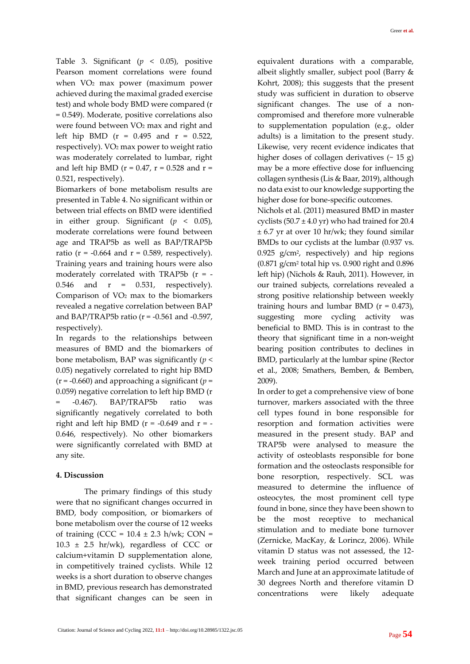Table 3. Significant (*p* < 0.05), positive Pearson moment correlations were found when VO<sup>2</sup> max power (maximum power achieved during the maximal graded exercise test) and whole body BMD were compared (r = 0.549). Moderate, positive correlations also were found between VO<sup>2</sup> max and right and left hip BMD ( $r = 0.495$  and  $r = 0.522$ , respectively). VO<sup>2</sup> max power to weight ratio was moderately correlated to lumbar, right and left hip BMD ( $r = 0.47$ ,  $r = 0.528$  and  $r =$ 0.521, respectively).

Biomarkers of bone metabolism results are presented in Table 4. No significant within or between trial effects on BMD were identified in either group. Significant  $(p < 0.05)$ , moderate correlations were found between age and TRAP5b as well as BAP/TRAP5b ratio ( $r = -0.664$  and  $r = 0.589$ , respectively). Training years and training hours were also moderately correlated with TRAP5b (r = - 0.546 and  $r = 0.531$ , respectively). Comparison of VO<sup>2</sup> max to the biomarkers revealed a negative correlation between BAP and BAP/TRAP5b ratio ( $r = -0.561$  and  $-0.597$ , respectively).

In regards to the relationships between measures of BMD and the biomarkers of bone metabolism, BAP was significantly (*p* < 0.05) negatively correlated to right hip BMD (r = -0.660) and approaching a significant (*p* = 0.059) negative correlation to left hip BMD (r = -0.467). BAP/TRAP5b ratio was significantly negatively correlated to both right and left hip BMD ( $r = -0.649$  and  $r = -$ 0.646, respectively). No other biomarkers were significantly correlated with BMD at any site.

## **4. Discussion**

The primary findings of this study were that no significant changes occurred in BMD, body composition, or biomarkers of bone metabolism over the course of 12 weeks of training (CCC =  $10.4 \pm 2.3$  h/wk; CON =  $10.3 \pm 2.5$  hr/wk), regardless of CCC or calcium+vitamin D supplementation alone, in competitively trained cyclists. While 12 weeks is a short duration to observe changes in BMD, previous research has demonstrated that significant changes can be seen in equivalent durations with a comparable, albeit slightly smaller, subject pool (Barry & Kohrt, 2008); this suggests that the present study was sufficient in duration to observe significant changes. The use of a noncompromised and therefore more vulnerable to supplementation population (e.g., older adults) is a limitation to the present study. Likewise, very recent evidence indicates that higher doses of collagen derivatives  $($   $\sim$  15 g) may be a more effective dose for influencing collagen synthesis (Lis & Baar, 2019), although no data exist to our knowledge supporting the higher dose for bone-specific outcomes.

Nichols et al. (2011) measured BMD in master cyclists  $(50.7 \pm 4.0 \text{ yr})$  who had trained for 20.4  $\pm$  6.7 yr at over 10 hr/wk; they found similar BMDs to our cyclists at the lumbar (0.937 vs. 0.925 g/cm<sup>2</sup> , respectively) and hip regions (0.871 g/cm<sup>2</sup> total hip vs. 0.900 right and 0.896 left hip) (Nichols & Rauh, 2011). However, in our trained subjects, correlations revealed a strong positive relationship between weekly training hours and lumbar BMD  $(r = 0.473)$ , suggesting more cycling activity was beneficial to BMD. This is in contrast to the theory that significant time in a non-weight bearing position contributes to declines in BMD, particularly at the lumbar spine (Rector et al., 2008; Smathers, Bemben, & Bemben, 2009).

In order to get a comprehensive view of bone turnover, markers associated with the three cell types found in bone responsible for resorption and formation activities were measured in the present study. BAP and TRAP5b were analysed to measure the activity of osteoblasts responsible for bone formation and the osteoclasts responsible for bone resorption, respectively. SCL was measured to determine the influence of osteocytes, the most prominent cell type found in bone, since they have been shown to be the most receptive to mechanical stimulation and to mediate bone turnover (Zernicke, MacKay, & Lorincz, 2006). While vitamin D status was not assessed, the 12 week training period occurred between March and June at an approximate latitude of 30 degrees North and therefore vitamin D concentrations were likely adequate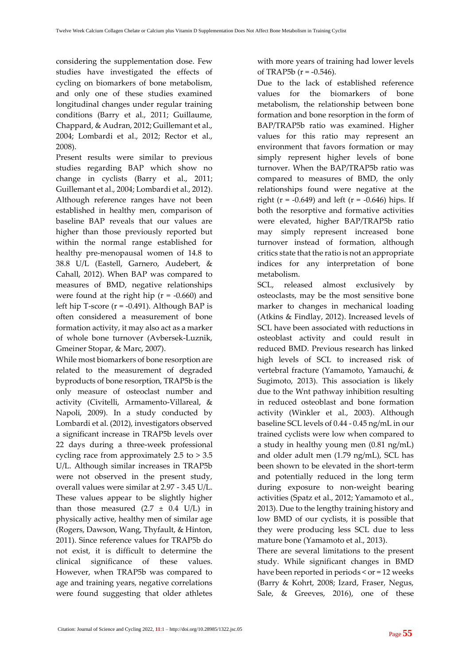considering the supplementation dose. Few studies have investigated the effects of cycling on biomarkers of bone metabolism, and only one of these studies examined longitudinal changes under regular training conditions (Barry et al., 2011; Guillaume, Chappard, & Audran, 2012; Guillemant et al., 2004; Lombardi et al., 2012; Rector et al., 2008).

Present results were similar to previous studies regarding BAP which show no change in cyclists (Barry et al., 2011; Guillemant et al., 2004; Lombardi et al., 2012). Although reference ranges have not been established in healthy men, comparison of baseline BAP reveals that our values are higher than those previously reported but within the normal range established for healthy pre-menopausal women of 14.8 to 38.8 U/L (Eastell, Garnero, Audebert, & Cahall, 2012). When BAP was compared to measures of BMD, negative relationships were found at the right hip  $(r = -0.660)$  and left hip T-score  $(r = -0.491)$ . Although BAP is often considered a measurement of bone formation activity, it may also act as a marker of whole bone turnover (Avbersek-Luznik, Gmeiner Stopar, & Marc, 2007).

While most biomarkers of bone resorption are related to the measurement of degraded byproducts of bone resorption, TRAP5b is the only measure of osteoclast number and activity (Civitelli, Armamento-Villareal, & Napoli, 2009). In a study conducted by Lombardi et al. (2012), investigators observed a significant increase in TRAP5b levels over 22 days during a three-week professional cycling race from approximately 2.5 to > 3.5 U/L. Although similar increases in TRAP5b were not observed in the present study, overall values were similar at 2.97 - 3.45 U/L. These values appear to be slightly higher than those measured  $(2.7 \pm 0.4 \text{ U/L})$  in physically active, healthy men of similar age (Rogers, Dawson, Wang, Thyfault, & Hinton, 2011). Since reference values for TRAP5b do not exist, it is difficult to determine the clinical significance of these values. However, when TRAP5b was compared to age and training years, negative correlations were found suggesting that older athletes

with more years of training had lower levels of TRAP5b  $(r = -0.546)$ .

Due to the lack of established reference values for the biomarkers of bone metabolism, the relationship between bone formation and bone resorption in the form of BAP/TRAP5b ratio was examined. Higher values for this ratio may represent an environment that favors formation or may simply represent higher levels of bone turnover. When the BAP/TRAP5b ratio was compared to measures of BMD, the only relationships found were negative at the right ( $r = -0.649$ ) and left ( $r = -0.646$ ) hips. If both the resorptive and formative activities were elevated, higher BAP/TRAP5b ratio may simply represent increased bone turnover instead of formation, although critics state that the ratio is not an appropriate indices for any interpretation of bone metabolism.

SCL, released almost exclusively by osteoclasts, may be the most sensitive bone marker to changes in mechanical loading (Atkins & Findlay, 2012). Increased levels of SCL have been associated with reductions in osteoblast activity and could result in reduced BMD. Previous research has linked high levels of SCL to increased risk of vertebral fracture (Yamamoto, Yamauchi, & Sugimoto, 2013). This association is likely due to the Wnt pathway inhibition resulting in reduced osteoblast and bone formation activity (Winkler et al., 2003). Although baseline SCL levels of 0.44 - 0.45 ng/mL in our trained cyclists were low when compared to a study in healthy young men (0.81 ng/mL) and older adult men (1.79 ng/mL), SCL has been shown to be elevated in the short-term and potentially reduced in the long term during exposure to non-weight bearing activities (Spatz et al., 2012; Yamamoto et al., 2013). Due to the lengthy training history and low BMD of our cyclists, it is possible that they were producing less SCL due to less mature bone (Yamamoto et al., 2013).

There are several limitations to the present study. While significant changes in BMD have been reported in periods < or = 12 weeks (Barry & Kohrt, 2008; Izard, Fraser, Negus, Sale, & Greeves, 2016), one of these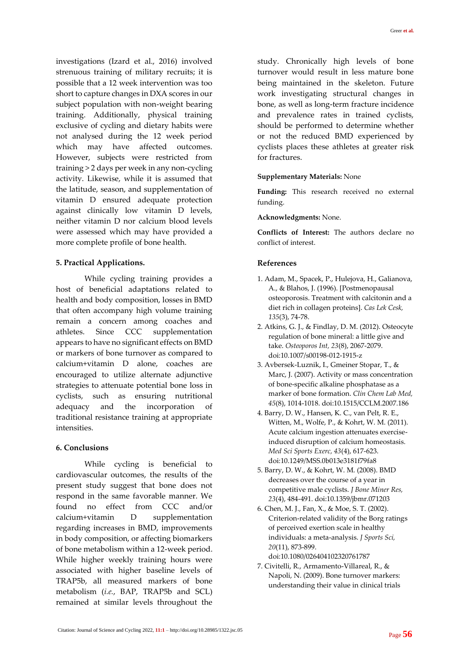investigations (Izard et al., 2016) involved strenuous training of military recruits; it is possible that a 12 week intervention was too short to capture changes in DXA scores in our subject population with non-weight bearing training. Additionally, physical training exclusive of cycling and dietary habits were not analysed during the 12 week period which may have affected outcomes. However, subjects were restricted from training > 2 days per week in any non-cycling activity. Likewise, while it is assumed that the latitude, season, and supplementation of vitamin D ensured adequate protection against clinically low vitamin D levels, neither vitamin D nor calcium blood levels were assessed which may have provided a more complete profile of bone health.

#### **5. Practical Applications.**

While cycling training provides a host of beneficial adaptations related to health and body composition, losses in BMD that often accompany high volume training remain a concern among coaches and athletes. Since CCC supplementation appears to have no significant effects on BMD or markers of bone turnover as compared to calcium+vitamin D alone, coaches are encouraged to utilize alternate adjunctive strategies to attenuate potential bone loss in cyclists, such as ensuring nutritional adequacy and the incorporation of traditional resistance training at appropriate intensities.

#### **6. Conclusions**

While cycling is beneficial to cardiovascular outcomes, the results of the present study suggest that bone does not respond in the same favorable manner. We found no effect from CCC and/or calcium+vitamin D supplementation regarding increases in BMD, improvements in body composition, or affecting biomarkers of bone metabolism within a 12-week period. While higher weekly training hours were associated with higher baseline levels of TRAP5b, all measured markers of bone metabolism (*i.e.*, BAP, TRAP5b and SCL) remained at similar levels throughout the study. Chronically high levels of bone turnover would result in less mature bone being maintained in the skeleton. Future work investigating structural changes in bone, as well as long-term fracture incidence and prevalence rates in trained cyclists, should be performed to determine whether or not the reduced BMD experienced by cyclists places these athletes at greater risk for fractures.

#### **Supplementary Materials:** None

**Funding:** This research received no external funding.

#### **Acknowledgments:** None.

**Conflicts of Interest:** The authors declare no conflict of interest.

#### **References**

- 1. Adam, M., Spacek, P., Hulejova, H., Galianova, A., & Blahos, J. (1996). [Postmenopausal osteoporosis. Treatment with calcitonin and a diet rich in collagen proteins]. *Cas Lek Cesk, 135*(3), 74-78.
- 2. Atkins, G. J., & Findlay, D. M. (2012). Osteocyte regulation of bone mineral: a little give and take. *Osteoporos Int, 23*(8), 2067-2079. doi:10.1007/s00198-012-1915-z
- 3. Avbersek-Luznik, I., Gmeiner Stopar, T., & Marc, J. (2007). Activity or mass concentration of bone-specific alkaline phosphatase as a marker of bone formation. *Clin Chem Lab Med, 45*(8), 1014-1018. doi:10.1515/CCLM.2007.186
- 4. Barry, D. W., Hansen, K. C., van Pelt, R. E., Witten, M., Wolfe, P., & Kohrt, W. M. (2011). Acute calcium ingestion attenuates exerciseinduced disruption of calcium homeostasis. *Med Sci Sports Exerc, 43*(4), 617-623. doi:10.1249/MSS.0b013e3181f79fa8
- 5. Barry, D. W., & Kohrt, W. M. (2008). BMD decreases over the course of a year in competitive male cyclists. *J Bone Miner Res, 23*(4), 484-491. doi:10.1359/jbmr.071203
- 6. Chen, M. J., Fan, X., & Moe, S. T. (2002). Criterion-related validity of the Borg ratings of perceived exertion scale in healthy individuals: a meta-analysis. *J Sports Sci, 20*(11), 873-899. doi:10.1080/026404102320761787
- 7. Civitelli, R., Armamento-Villareal, R., & Napoli, N. (2009). Bone turnover markers: understanding their value in clinical trials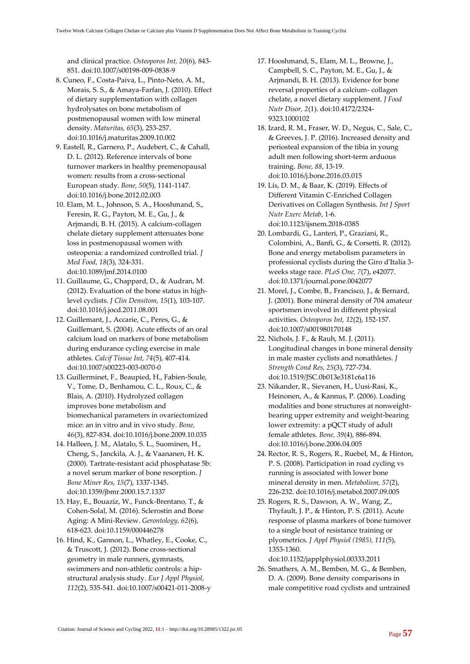and clinical practice. *Osteoporos Int, 20*(6), 843- 851. doi:10.1007/s00198-009-0838-9

- 8. Cuneo, F., Costa-Paiva, L., Pinto-Neto, A. M., Morais, S. S., & Amaya-Farfan, J. (2010). Effect of dietary supplementation with collagen hydrolysates on bone metabolism of postmenopausal women with low mineral density. *Maturitas, 65*(3), 253-257. doi:10.1016/j.maturitas.2009.10.002
- 9. Eastell, R., Garnero, P., Audebert, C., & Cahall, D. L. (2012). Reference intervals of bone turnover markers in healthy premenopausal women: results from a cross-sectional European study. *Bone, 50*(5), 1141-1147. doi:10.1016/j.bone.2012.02.003
- 10. Elam, M. L., Johnson, S. A., Hooshmand, S., Feresin, R. G., Payton, M. E., Gu, J., & Arjmandi, B. H. (2015). A calcium-collagen chelate dietary supplement attenuates bone loss in postmenopausal women with osteopenia: a randomized controlled trial. *J Med Food, 18*(3), 324-331. doi:10.1089/jmf.2014.0100
- 11. Guillaume, G., Chappard, D., & Audran, M. (2012). Evaluation of the bone status in highlevel cyclists. *J Clin Densitom, 15*(1), 103-107. doi:10.1016/j.jocd.2011.08.001
- 12. Guillemant, J., Accarie, C., Peres, G., & Guillemant, S. (2004). Acute effects of an oral calcium load on markers of bone metabolism during endurance cycling exercise in male athletes. *Calcif Tissue Int, 74*(5), 407-414. doi:10.1007/s00223-003-0070-0
- 13. Guillerminet, F., Beaupied, H., Fabien-Soule, V., Tome, D., Benhamou, C. L., Roux, C., & Blais, A. (2010). Hydrolyzed collagen improves bone metabolism and biomechanical parameters in ovariectomized mice: an in vitro and in vivo study. *Bone, 46*(3), 827-834. doi:10.1016/j.bone.2009.10.035
- 14. Halleen, J. M., Alatalo, S. L., Suominen, H., Cheng, S., Janckila, A. J., & Vaananen, H. K. (2000). Tartrate-resistant acid phosphatase 5b: a novel serum marker of bone resorption. *J Bone Miner Res, 15*(7), 1337-1345. doi:10.1359/jbmr.2000.15.7.1337
- 15. Hay, E., Bouaziz, W., Funck-Brentano, T., & Cohen-Solal, M. (2016). Sclerostin and Bone Aging: A Mini-Review. *Gerontology, 62*(6), 618-623. doi:10.1159/000446278
- 16. Hind, K., Gannon, L., Whatley, E., Cooke, C., & Truscott, J. (2012). Bone cross-sectional geometry in male runners, gymnasts, swimmers and non-athletic controls: a hipstructural analysis study. *Eur J Appl Physiol, 112*(2), 535-541. doi:10.1007/s00421-011-2008-y
- 17. Hooshmand, S., Elam, M. L., Browne, J., Campbell, S. C., Payton, M. E., Gu, J., & Arjmandi, B. H. (2013). Evidence for bone reversal properties of a calcium- collagen chelate, a novel dietary supplement. *J Food Nutr Disor, 2*(1). doi:10.4172/2324- 9323.1000102
- 18. Izard, R. M., Fraser, W. D., Negus, C., Sale, C., & Greeves, J. P. (2016). Increased density and periosteal expansion of the tibia in young adult men following short-term arduous training. *Bone, 88*, 13-19. doi:10.1016/j.bone.2016.03.015
- 19. Lis, D. M., & Baar, K. (2019). Effects of Different Vitamin C-Enriched Collagen Derivatives on Collagen Synthesis. *Int J Sport Nutr Exerc Metab*, 1-6. doi:10.1123/ijsnem.2018-0385
- 20. Lombardi, G., Lanteri, P., Graziani, R., Colombini, A., Banfi, G., & Corsetti, R. (2012). Bone and energy metabolism parameters in professional cyclists during the Giro d'Italia 3 weeks stage race. *PLoS One, 7*(7), e42077. doi:10.1371/journal.pone.0042077
- 21. Morel, J., Combe, B., Francisco, J., & Bernard, J. (2001). Bone mineral density of 704 amateur sportsmen involved in different physical activities. *Osteoporos Int, 12*(2), 152-157. doi:10.1007/s001980170148
- 22. Nichols, J. F., & Rauh, M. J. (2011). Longitudinal changes in bone mineral density in male master cyclists and nonathletes. *J Strength Cond Res, 25*(3), 727-734. doi:10.1519/JSC.0b013e3181c6a116
- 23. Nikander, R., Sievanen, H., Uusi-Rasi, K., Heinonen, A., & Kannus, P. (2006). Loading modalities and bone structures at nonweightbearing upper extremity and weight-bearing lower extremity: a pQCT study of adult female athletes. *Bone, 39*(4), 886-894. doi:10.1016/j.bone.2006.04.005
- 24. Rector, R. S., Rogers, R., Ruebel, M., & Hinton, P. S. (2008). Participation in road cycling vs running is associated with lower bone mineral density in men. *Metabolism, 57*(2), 226-232. doi:10.1016/j.metabol.2007.09.005
- 25. Rogers, R. S., Dawson, A. W., Wang, Z., Thyfault, J. P., & Hinton, P. S. (2011). Acute response of plasma markers of bone turnover to a single bout of resistance training or plyometrics. *J Appl Physiol (1985), 111*(5), 1353-1360.

doi:10.1152/japplphysiol.00333.2011

26. Smathers, A. M., Bemben, M. G., & Bemben, D. A. (2009). Bone density comparisons in male competitive road cyclists and untrained